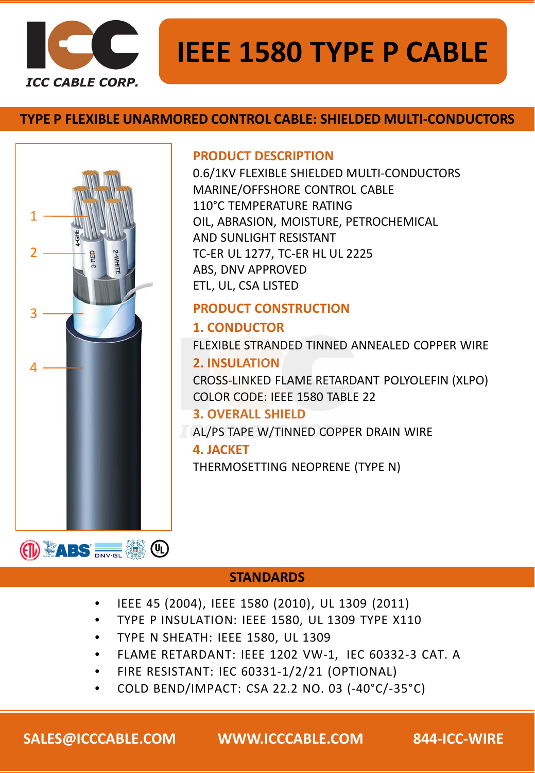

# **IEEE 1580 TYPE P CABLE**

# **TYPE P FLEXIBLE UNARMORED CONTROL CABLE: SHIELDED MULTI-CONDUCTORS**



### **PRODUCT DESCRIPTION**

0.6/1KV FLEXIBLE SHIELDED MULTI-CONDUCTORS MARINE/OFFSHORE CONTROL CABLE 110°C TEMPERATURE RATING OIL, ABRASION, MOISTURE, PETROCHEMICAL AND SUNLIGHT RESISTANT TC-ER UL 1277, TC-ER HL UL 2225 ABS, DNV APPROVED ETL, UL, CSA LISTED

# **PRODUCT CONSTRUCTION**

# **1. CONDUCTOR**

FLEXIBLE STRANDED TINNED ANNEALED COPPER WIRE

# **2. INSULATION**

CROSS-LINKED FLAME RETARDANT POLYOLEFIN (XLPO) COLOR CODE: IEEE 1580 TABLE 22

# **3. OVERALL SHIELD**

AL/PS TAPE W/TINNED COPPER DRAIN WIRE

### **4. JACKET**

THERMOSETTING NEOPRENE (TYPE N)

# **STANDARDS**

- IEEE 45 (2004), IEEE 1580 (2010), UL 1309 (2011)
- TYPE P INSULATION: IEEE 1580, UL 1309 TYPE X110
- TYPE N SHEATH: IEEE 1580, UL 1309
- FLAME RETARDANT: IEEE 1202 VW-1, IEC 60332-3 CAT. A
- FIRE RESISTANT: IEC 60331-1/2/21 (OPTIONAL)
- COLD BEND/IMPACT: CSA 22.2 NO. 03 (-40°C/-35°C)

**SALES@ICCCABLE.COM WWW.ICCCABLE.COM 844-ICC-WIRE**